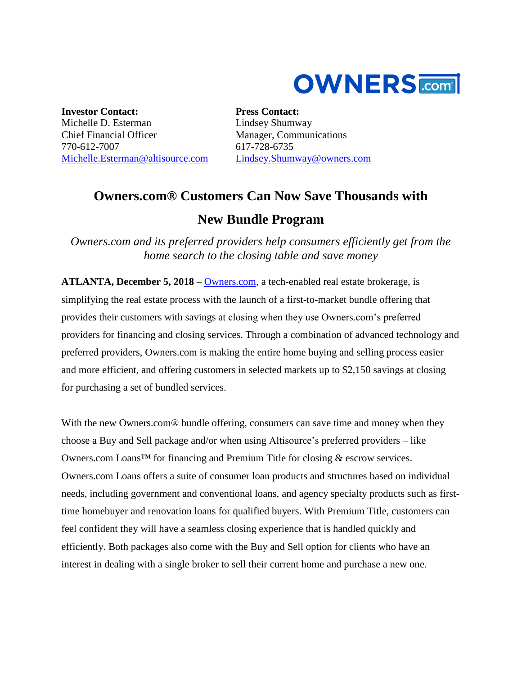

**Investor Contact:** Michelle D. Esterman Chief Financial Officer 770-612-7007 [Michelle.Esterman@altisource.com](mailto:Michelle.Esterman@altisource.com) **Press Contact:** Lindsey Shumway Manager, Communications 617-728-6735 [Lindsey.Shumway@owners.com](mailto:lindsey.shumway@owners.com)

## **Owners.com® Customers Can Now Save Thousands with New Bundle Program**

*Owners.com and its preferred providers help consumers efficiently get from the home search to the closing table and save money*

**ATLANTA, December 5, 2018** – [Owners.com,](https://www.owners.com/?utm_source=pr&utm_medium=pr&utm_campaign=owners.com_bundle&utm_content=first) a tech-enabled real estate brokerage, is simplifying the real estate process with the launch of a first-to-market bundle offering that provides their customers with savings at closing when they use Owners.com's preferred providers for financing and closing services. Through a combination of advanced technology and preferred providers, Owners.com is making the entire home buying and selling process easier and more efficient, and offering customers in selected markets up to \$2,150 savings at closing for purchasing a set of bundled services.

With the new Owners.com<sup>®</sup> bundle offering, consumers can save time and money when they choose a Buy and Sell package and/or when using Altisource's preferred providers – like Owners.com Loans™ for financing and Premium Title for closing & escrow services. Owners.com Loans offers a suite of consumer loan products and structures based on individual needs, including government and conventional loans, and agency specialty products such as firsttime homebuyer and renovation loans for qualified buyers. With Premium Title, customers can feel confident they will have a seamless closing experience that is handled quickly and efficiently. Both packages also come with the Buy and Sell option for clients who have an interest in dealing with a single broker to sell their current home and purchase a new one.